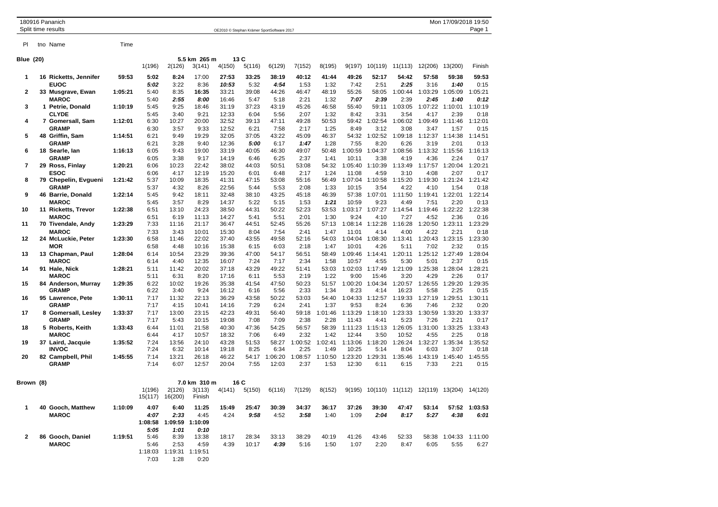|                  | 180916 Pananich<br>Split time results |         |                      |                   |                  |                |               | OE2010 © Stephan Krämer SportSoftware 2017 |                 |                 |                  |                 |                  |                 | Mon 17/09/2018 19:50    | Page 1          |
|------------------|---------------------------------------|---------|----------------------|-------------------|------------------|----------------|---------------|--------------------------------------------|-----------------|-----------------|------------------|-----------------|------------------|-----------------|-------------------------|-----------------|
|                  |                                       |         |                      |                   |                  |                |               |                                            |                 |                 |                  |                 |                  |                 |                         |                 |
| PI               | tno Name                              | Time    |                      |                   |                  |                |               |                                            |                 |                 |                  |                 |                  |                 |                         |                 |
| <b>Blue (20)</b> |                                       |         | 5.5 km 265 m<br>13 C |                   |                  |                |               |                                            |                 |                 |                  |                 |                  |                 |                         |                 |
|                  |                                       |         | 1(196)               | 2(126)            | 3(141)           | 4(150)         | 5(116)        | 6(129)                                     | 7(152)          | 8(195)          | 9(197)           | 10(119)         | 11(113)          | 12(206)         | 13(200)                 | Finish          |
| $\mathbf{1}$     | 16 Ricketts, Jennifer                 | 59:53   | 5:02                 | 8:24              | 17:00            | 27:53          | 33:25         | 38:19                                      | 40:12           | 41:44           | 49:26            | 52:17           | 54:42            | 57:58           | 59:38                   | 59:53           |
|                  | <b>EUOC</b>                           |         | 5:02                 | 3:22              | 8:36             | 10:53          | 5:32          | 4:54                                       | 1:53            | 1:32            | 7:42             | 2:51            | 2:25             | 3:16            | 1:40                    | 0:15            |
| $\overline{2}$   | 33 Musgrave, Ewan                     | 1:05:21 | 5:40                 | 8:35              | 16:35            | 33:21          | 39:08         | 44:26                                      | 46:47           | 48:19           | 55:26            | 58:05           | 1:00:44          | 1:03:29         | 1:05:09                 | 1:05:21         |
|                  | <b>MAROC</b>                          |         | 5:40                 | 2:55              | 8:00             | 16:46          | 5:47          | 5:18                                       | 2:21            | 1:32            | 7:07             | 2:39            | 2:39             | 2:45            | 1:40                    | 0:12            |
| 3                | 1 Petrie, Donald                      | 1:10:19 | 5:45                 | 9:25              | 18:46            | 31:19          | 37:23         | 43:19                                      | 45:26           | 46:58           | 55:40            | 59:11           | 1:03:05          | 1:07:22         | 1:10:01                 | 1:10:19         |
|                  | <b>CLYDE</b>                          |         | 5:45                 | 3:40              | 9:21             | 12:33          | 6:04          | 5:56                                       | 2:07            | 1:32            | 8:42             | 3:31            | 3:54             | 4:17            | 2:39                    | 0:18            |
| 4                | 7 Gomersall, Sam                      | 1:12:01 | 6:30                 | 10:27             | 20:00            | 32:52          | 39:13         | 47:11                                      | 49:28           | 50:53           | 59:42            | 1:02:54         | 1:06:02          | 1:09:49         | 1:11:46                 | 1:12:01         |
|                  | <b>GRAMP</b>                          |         | 6:30                 | 3:57              | 9:33             | 12:52          | 6:21          | 7:58                                       | 2:17            | 1:25            | 8:49             | 3:12            | 3:08             | 3:47            | 1:57                    | 0:15            |
| 5                | 48 Griffin, Sam                       | 1:14:51 | 6:21                 | 9:49              | 19:29            | 32:05          | 37:05         | 43:22                                      | 45:09           | 46:37           | 54:32            | 1:02:52         | 1:09:18          | 1:12:37         | 1:14:38                 | 1:14:51         |
| 6                | <b>GRAMP</b><br>18 Searle, Ian        | 1:16:13 | 6:21<br>6:05         | 3:28<br>9:43      | 9:40<br>19:00    | 12:36<br>33:19 | 5:00<br>40:05 | 6:17<br>46:30                              | 1:47<br>49:07   | 1:28<br>50:48   | 7:55<br>1:00:59  | 8:20<br>1:04:37 | 6:26<br>1:08:56  | 3:19            | 2:01<br>1:13:32 1:15:56 | 0:13<br>1:16:13 |
|                  | <b>GRAMP</b>                          |         | 6:05                 | 3:38              | 9:17             | 14:19          | 6:46          | 6:25                                       | 2:37            | 1:41            | 10:11            | 3:38            | 4:19             | 4:36            | 2:24                    | 0:17            |
| 7                | 29 Ross, Finlay                       | 1:20:21 | 6:06                 | 10:23             | 22:42            | 38:02          | 44:03         | 50:51                                      | 53:08           | 54:32           | 1:05:40          | 1:10:39         | 1:13:49          | 1:17:57         | 1:20:04                 | 1:20:21         |
|                  | <b>ESOC</b>                           |         | 6:06                 | 4:17              | 12:19            | 15:20          | 6:01          | 6:48                                       | 2:17            | 1:24            | 11:08            | 4:59            | 3:10             | 4:08            | 2:07                    | 0:17            |
| 8                | 79 Chepelin, Evgueni                  | 1:21:42 | 5:37                 | 10:09             | 18:35            | 41:31          | 47:15         | 53:08                                      | 55:16           | 56:49           | 1:07:04          | 1:10:58         | 1:15:20          | 1:19:30         | 1:21:24                 | 1:21:42         |
|                  | <b>GRAMP</b>                          |         | 5:37                 | 4:32              | 8:26             | 22:56          | 5:44          | 5:53                                       | 2:08            | 1:33            | 10:15            | 3:54            | 4:22             | 4:10            | 1:54                    | 0:18            |
| 9                | 46 Barrie, Donald                     | 1:22:14 | 5:45                 | 9:42              | 18:11            | 32:48          | 38:10         | 43:25                                      | 45:18           | 46:39           | 57:38            | 1:07:01         | 1:11:50          | 1:19:41         | 1:22:01                 | 1:22:14         |
|                  | <b>MAROC</b>                          |         | 5:45                 | 3:57              | 8:29             | 14:37          | 5:22          | 5:15                                       | 1:53            | 1:21            | 10:59            | 9:23            | 4:49             | 7:51            | 2:20                    | 0:13            |
| 10               | 11 Ricketts, Trevor                   | 1:22:38 | 6:51                 | 13:10             | 24:23            | 38:50          | 44:31         | 50:22                                      | 52:23           | 53:53           | 1:03:17          | 1:07:27         | 1:14:54          | 1:19:46         | 1:22:22                 | 1:22:38         |
|                  | <b>MAROC</b>                          |         | 6:51                 | 6:19              | 11:13            | 14:27          | 5:41          | 5:51                                       | 2:01            | 1:30            | 9:24             | 4:10            | 7:27             | 4:52            | 2:36                    | 0:16            |
| 11               | 70 Tivendale, Andy                    | 1:23:29 | 7:33                 | 11:16             | 21:17            | 36:47          | 44:51         | 52:45                                      | 55:26           | 57:13           | 1:08:14          | 1:12:28         | 1:16:28          | 1:20:50         | 1:23:11                 | 1:23:29         |
|                  | <b>MAROC</b>                          |         | 7:33                 | 3:43              | 10:01            | 15:30          | 8:04          | 7:54                                       | 2:41            | 1:47            | 11:01            | 4:14            | 4:00             | 4:22            | 2:21                    | 0:18            |
| 12               | 24 McLuckie, Peter<br><b>MOR</b>      | 1:23:30 | 6:58                 | 11:46             | 22:02            | 37:40          | 43:55         | 49:58                                      | 52:16           | 54:03           | 1:04:04<br>10:01 | 1:08:30<br>4:26 | 1:13:41          | 1:20:43         | 1:23:15<br>2:32         | 1:23:30         |
| 13               |                                       | 1:28:04 | 6:58<br>6:14         | 4:48<br>10:54     | 10:16<br>23:29   | 15:38<br>39:36 | 6:15<br>47:00 | 6:03<br>54:17                              | 2:18<br>56:51   | 1:47<br>58:49   | 1:09:46          | 1:14:41         | 5:11<br>1:20:11  | 7:02            | 1:25:12 1:27:49         | 0:15<br>1:28:04 |
|                  | 13 Chapman, Paul<br><b>MAROC</b>      |         | 6:14                 | 4:40              | 12:35            | 16:07          | 7:24          | 7:17                                       | 2:34            | 1:58            | 10:57            | 4:55            | 5:30             | 5:01            | 2:37                    | 0:15            |
| 14               | 91 Hale, Nick                         | 1:28:21 | 5:11                 | 11:42             | 20:02            | 37:18          | 43:29         | 49:22                                      | 51:41           | 53:03           | 1:02:03          | 1:17:49         | 1:21:09          | 1:25:38         | 1:28:04                 | 1:28:21         |
|                  | <b>MAROC</b>                          |         | 5:11                 | 6:31              | 8:20             | 17:16          | 6:11          | 5:53                                       | 2:19            | 1:22            | 9:00             | 15:46           | 3:20             | 4:29            | 2:26                    | 0:17            |
| 15               | 84 Anderson, Murray                   | 1:29:35 | 6:22                 | 10:02             | 19:26            | 35:38          | 41:54         | 47:50                                      | 50:23           | 51:57           | 1:00:20          | 1:04:34         | 1:20:57          | 1:26:55         | 1:29:20                 | 1:29:35         |
|                  | <b>GRAMP</b>                          |         | 6:22                 | 3:40              | 9:24             | 16:12          | 6:16          | 5:56                                       | 2:33            | 1:34            | 8:23             | 4:14            | 16:23            | 5:58            | 2:25                    | 0:15            |
| 16               | 95 Lawrence, Pete                     | 1:30:11 | 7:17                 | 11:32             | 22:13            | 36:29          | 43:58         | 50:22                                      | 53:03           | 54:40           | 1:04:33          | 1:12:57         | 1:19:33          | 1:27:19         | 1:29:51                 | 1:30:11         |
|                  | <b>GRAMP</b>                          |         | 7:17                 | 4:15              | 10:41            | 14:16          | 7:29          | 6:24                                       | 2:41            | 1:37            | 9:53             | 8:24            | 6:36             | 7:46            | 2:32                    | 0:20            |
| 17               | 8 Gomersall, Lesley                   | 1:33:37 | 7:17                 | 13:00             | 23:15            | 42:23          | 49:31         | 56:40                                      | 59:18           | 1:01:46         | 1:13:29          | 1:18:10         | 1:23:33          | 1:30:59         | 1:33:20                 | 1:33:37         |
|                  | <b>GRAMP</b>                          |         | 7:17                 | 5:43              | 10:15            | 19:08          | 7:08          | 7:09                                       | 2:38            | 2:28            | 11:43            | 4:41            | 5:23             | 7:26            | 2:21                    | 0:17            |
| 18               | 5 Roberts, Keith                      | 1:33:43 | 6:44                 | 11:01             | 21:58            | 40:30          | 47:36         | 54:25                                      | 56:57           | 58:39           | 1:11:23          | 1:15:13         | 1:26:05          | 1:31:00         | 1:33:25                 | 1:33:43         |
|                  | <b>MAROC</b>                          | 1:35:52 | 6:44<br>7:24         | 4:17              | 10:57            | 18:32          | 7:06<br>51:53 | 6:49<br>58:27                              | 2:32<br>1:00:52 | 1:42<br>1:02:41 | 12:44<br>1:13:06 | 3:50            | 10:52<br>1:26:24 | 4:55<br>1:32:27 | 2:25<br>1:35:34         | 0:18<br>1:35:52 |
| 19               | 37 Laird, Jacquie<br><b>INVOC</b>     |         | 7:24                 | 13:56<br>6:32     | 24:10<br>10:14   | 43:28<br>19:18 | 8:25          | 6:34                                       | 2:25            | 1:49            | 10:25            | 1:18:20<br>5:14 | 8:04             | 6:03            | 3:07                    | 0:18            |
| 20               | 82 Campbell, Phil                     | 1:45:55 | 7:14                 | 13:21             | 26:18            | 46:22          | 54:17         | 1:06:20                                    | 1:08:57         | 1:10:50         | 1:23:20          | 1:29:31         | 1:35:46          | 1:43:19         | 1:45:40                 | 1:45:55         |
|                  | <b>GRAMP</b>                          |         | 7:14                 | 6:07              | 12:57            | 20:04          | 7:55          | 12:03                                      | 2:37            | 1:53            | 12:30            | 6:11            | 6:15             | 7:33            | 2:21                    | 0:15            |
|                  |                                       |         |                      |                   |                  |                |               |                                            |                 |                 |                  |                 |                  |                 |                         |                 |
| Brown (8)        |                                       |         |                      |                   | 7.0 km 310 m     |                | 16 C          |                                            |                 |                 |                  |                 |                  |                 |                         |                 |
|                  |                                       |         | 1(196)<br>15(117)    | 2(126)<br>16(200) | 3(113)<br>Finish | 4(141)         | 5(150)        | 6(116)                                     | 7(129)          | 8(152)          | 9(195)           | 10(110)         | 11(112)          | 12(119)         | 13(204) 14(120)         |                 |
| -1               | 40 Gooch, Matthew                     | 1:10:09 | 4:07                 | 6:40              | 11:25            | 15:49          | 25:47         | 30:39                                      | 34:37           | 36:17           | 37:26            | 39:30           | 47:47            | 53:14           | 57:52                   | 1:03:53         |
|                  | <b>MAROC</b>                          |         | 4:07                 | 2:33              | 4:45             | 4:24           | 9:58          | 4:52                                       | 3:58            | 1:40            | 1:09             | 2:04            | 8:17             | 5:27            | 4:38                    | 6:01            |
|                  |                                       |         | 1:08:58              | 1:09:59           | 1:10:09          |                |               |                                            |                 |                 |                  |                 |                  |                 |                         |                 |
|                  |                                       |         | 5:05                 | 1:01              | 0:10             |                |               |                                            |                 |                 |                  |                 |                  |                 |                         |                 |
| 2                | 86 Gooch, Daniel                      | 1:19:51 | 5:46                 | 8:39              | 13:38            | 18:17          | 28:34         | 33:13                                      | 38:29           | 40:19           | 41:26            | 43:46           | 52:33            | 58:38           | 1:04:33                 | 1:11:00         |
|                  | <b>MAROC</b>                          |         | 5:46                 | 2:53              | 4:59             | 4:39           | 10:17         | 4:39                                       | 5:16            | 1:50            | 1:07             | 2:20            | 8:47             | 6:05            | 5:55                    | 6:27            |
|                  |                                       |         | 1:18:03              | 1:19:31           | 1:19:51          |                |               |                                            |                 |                 |                  |                 |                  |                 |                         |                 |

7:03 1:28 0:20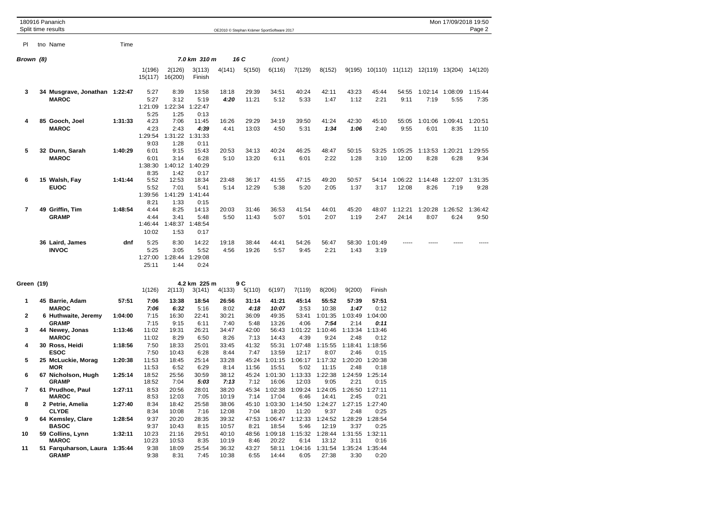|                     | 180916 Pananich<br>Split time results                                  |                    |                                  |                                  |                                  |                                |                                | OE2010 © Stephan Krämer SportSoftware 2017 |                                  |                                    |                                    |                                                |                  |                 | Mon 17/09/2018 19:50 | Page 2           |
|---------------------|------------------------------------------------------------------------|--------------------|----------------------------------|----------------------------------|----------------------------------|--------------------------------|--------------------------------|--------------------------------------------|----------------------------------|------------------------------------|------------------------------------|------------------------------------------------|------------------|-----------------|----------------------|------------------|
| PI                  | tno Name                                                               | Time               |                                  |                                  |                                  |                                |                                |                                            |                                  |                                    |                                    |                                                |                  |                 |                      |                  |
| Brown (8)           |                                                                        |                    |                                  |                                  | 7.0 km 310 m                     |                                | 16 C                           | (cont.)                                    |                                  |                                    |                                    |                                                |                  |                 |                      |                  |
|                     |                                                                        |                    | 1(196)                           | 2(126)<br>15(117) 16(200)        | 3(113)<br>Finish                 | 4(141)                         | 5(150)                         | 6(116)                                     | 7(129)                           | 8(152)                             |                                    | 9(195) 10(110) 11(112) 12(119) 13(204) 14(120) |                  |                 |                      |                  |
| 3                   | 34 Musgrave, Jonathan 1:22:47<br><b>MAROC</b>                          |                    | 5:27<br>5:27<br>1:21:09<br>5:25  | 8:39<br>3:12<br>1:22:34<br>1:25  | 13:58<br>5:19<br>1:22:47<br>0:13 | 18:18<br>4:20                  | 29:39<br>11:21                 | 34:51<br>5:12                              | 40:24<br>5:33                    | 42:11<br>1:47                      | 43:23<br>1:12                      | 45:44<br>2:21                                  | 54:55<br>9:11    | 1:02:14<br>7:19 | 1:08:09<br>5:55      | 1:15:44<br>7:35  |
| 4                   | 85 Gooch, Joel<br><b>MAROC</b>                                         | 1:31:33            | 4:23<br>4:23<br>1:29:54<br>9:03  | 7:06<br>2:43<br>1:31:22<br>1:28  | 11:45<br>4:39<br>1:31:33<br>0:11 | 16:26<br>4:41                  | 29:29<br>13:03                 | 34:19<br>4:50                              | 39:50<br>5:31                    | 41:24<br>1:34                      | 42:30<br>1:06                      | 45:10<br>2:40                                  | 55:05<br>9:55    | 1:01:06<br>6:01 | 1:09:41<br>8:35      | 1:20:51<br>11:10 |
| 5                   | 32 Dunn, Sarah<br><b>MAROC</b>                                         | 1:40:29            | 6:01<br>6:01<br>1:38:30<br>8:35  | 9:15<br>3:14<br>1:40:12<br>1:42  | 15:43<br>6:28<br>1:40:29<br>0:17 | 20:53<br>5:10                  | 34:13<br>13:20                 | 40:24<br>6:11                              | 46:25<br>6:01                    | 48:47<br>2:22                      | 50:15<br>1:28                      | 53:25<br>3:10                                  | 1:05:25<br>12:00 | 1:13:53<br>8:28 | 1:20:21<br>6:28      | 1:29:55<br>9:34  |
| 6                   | 15 Walsh, Fay<br><b>EUOC</b>                                           | 1:41:44            | 5:52<br>5:52<br>1:39:56<br>8:21  | 12:53<br>7:01<br>1:41:29<br>1:33 | 18:34<br>5:41<br>1:41:44<br>0:15 | 23:48<br>5:14                  | 36:17<br>12:29                 | 41:55<br>5:38                              | 47:15<br>5:20                    | 49:20<br>2:05                      | 50:57<br>1:37                      | 54:14<br>3:17                                  | 1:06:22<br>12:08 | 1:14:48<br>8:26 | 1:22:07<br>7:19      | 1:31:35<br>9:28  |
| $\overline{7}$      | 49 Griffin, Tim<br><b>GRAMP</b>                                        | 1:48:54            | 4:44<br>4:44<br>1:46:44<br>10:02 | 8:25<br>3:41<br>1:48:37<br>1:53  | 14:13<br>5:48<br>1:48:54<br>0:17 | 20:03<br>5:50                  | 31:46<br>11:43                 | 36:53<br>5:07                              | 41:54<br>5:01                    | 44:01<br>2:07                      | 45:20<br>1:19                      | 48:07<br>2:47                                  | 1:12:21<br>24:14 | 1:20:28<br>8:07 | 1:26:52<br>6:24      | 1:36:42<br>9:50  |
|                     | 36 Laird, James<br><b>INVOC</b>                                        | dnf                | 5:25<br>5:25<br>1:27:00<br>25:11 | 8:30<br>3:05<br>1:28:44<br>1:44  | 14:22<br>5:52<br>1:29:08<br>0:24 | 19:18<br>4:56                  | 38:44<br>19:26                 | 44:41<br>5:57                              | 54:26<br>9:45                    | 56:47<br>2:21                      | 58:30<br>1:43                      | 1:01:49<br>3:19                                |                  |                 |                      |                  |
| Green (19)          |                                                                        |                    | 1(126)                           | 2(113)                           | 4.2 km 225 m<br>3(141)           | 4(133)                         | 9 C<br>5(110)                  | 6(197)                                     | 7(119)                           | 8(206)                             | 9(200)                             | Finish                                         |                  |                 |                      |                  |
| 1                   | 45 Barrie, Adam<br><b>MAROC</b>                                        | 57:51              | 7:06<br>7:06                     | 13:38<br>6:32                    | 18:54<br>5:16                    | 26:56<br>8:02                  | 31:14<br>4:18                  | 41:21<br>10:07                             | 45:14<br>3:53                    | 55:52<br>10:38                     | 57:39<br>1:47                      | 57:51<br>0:12                                  |                  |                 |                      |                  |
| $\overline{2}$<br>3 | 6 Huthwaite, Jeremy<br><b>GRAMP</b><br>44 Newey, Jonas<br><b>MAROC</b> | 1:04:00<br>1:13:46 | 7:15<br>7:15<br>11:02<br>11:02   | 16:30<br>9:15<br>19:31<br>8:29   | 22:41<br>6:11<br>26:21<br>6:50   | 30:21<br>7:40<br>34:47<br>8:26 | 36:09<br>5:48<br>42:00<br>7:13 | 49:35<br>13:26<br>56:43<br>14:43           | 53:41<br>4:06<br>1:01:22<br>4:39 | 1:01:35<br>7:54<br>1:10:46<br>9:24 | 1:03:49<br>2:14<br>1:13:34<br>2:48 | 1:04:00<br>0:11<br>1:13:46<br>0:12             |                  |                 |                      |                  |
| 4                   | 30 Ross, Heidi<br><b>ESOC</b>                                          | 1:18:56            | 7:50<br>7:50                     | 18:33<br>10:43                   | 25:01<br>6:28                    | 33:45<br>8:44                  | 41:32<br>7:47                  | 55:31<br>13:59                             | 1:07:48<br>12:17                 | 1:15:55<br>8:07                    | 1:18:41<br>2:46                    | 1:18:56<br>0:15                                |                  |                 |                      |                  |
| 5                   | 25 McLuckie, Morag<br><b>MOR</b>                                       | 1:20:38            | 11:53<br>11:53                   | 18:45<br>6:52                    | 25:14<br>6:29                    | 33:28<br>8:14                  | 45:24<br>11:56                 | 1:01:15<br>15:51                           | 1:06:17<br>5:02                  | 1:17:32<br>11:15                   | 1:20:20<br>2:48                    | 1:20:38<br>0:18                                |                  |                 |                      |                  |
| 6                   | 67 Nicholson, Hugh<br><b>GRAMP</b>                                     | 1:25:14            | 18:52<br>18:52                   | 25:56<br>7:04                    | 30:59<br>5:03                    | 38:12<br>7:13                  | 45:24<br>7:12                  | 1:01:30<br>16:06                           | 1:13:33<br>12:03                 | 1:22:38<br>9:05                    | 1:24:59<br>2:21                    | 1:25:14<br>0:15                                |                  |                 |                      |                  |
| $\overline{7}$<br>8 | 61 Prudhoe, Paul<br><b>MAROC</b><br>2 Petrie, Amelia                   | 1:27:11<br>1:27:40 | 8:53<br>8:53<br>8:34             | 20:56<br>12:03<br>18:42          | 28:01<br>7:05<br>25:58           | 38:20<br>10:19<br>38:06        | 45:34<br>7:14<br>45:10         | 1:02:38<br>17:04<br>1:03:30                | 1:09:24<br>6:46<br>1:14:50       | 1:24:05<br>14:41<br>1:24:27        | 1:26:50<br>2:45<br>1:27:15         | 1:27:11<br>0:21<br>1:27:40                     |                  |                 |                      |                  |
| 9                   | <b>CLYDE</b><br>64 Kemsley, Clare                                      | 1:28:54            | 8:34<br>9:37                     | 10:08<br>20:20                   | 7:16<br>28:35                    | 12:08<br>39:32                 | 7:04<br>47:53                  | 18:20<br>1:06:47                           | 11:20<br>1:12:33                 | 9:37<br>1:24:52                    | 2:48<br>1:28:29                    | 0:25<br>1:28:54                                |                  |                 |                      |                  |
| 10                  | <b>BASOC</b><br>59 Collins, Lynn<br><b>MAROC</b>                       | 1:32:11            | 9:37<br>10:23<br>10:23           | 10:43<br>21:16<br>10:53          | 8:15<br>29:51<br>8:35            | 10:57<br>40:10<br>10:19        | 8:21<br>48:56<br>8:46          | 18:54<br>1:09:18<br>20:22                  | 5:46<br>1:15:32<br>6:14          | 12:19<br>1:28:44<br>13:12          | 3:37<br>1:31:55<br>3:11            | 0:25<br>1:32:11<br>0:16                        |                  |                 |                      |                  |
| 11                  | 51 Farquharson, Laura 1:35:44<br><b>GRAMP</b>                          |                    | 9:38<br>9:38                     | 18:09<br>8:31                    | 25:54<br>7:45                    | 36:32<br>10:38                 | 43:27<br>6:55                  | 58:11<br>14:44                             | 1:04:16<br>6:05                  | 1:31:54<br>27:38                   | 1:35:24<br>3:30                    | 1:35:44<br>0:20                                |                  |                 |                      |                  |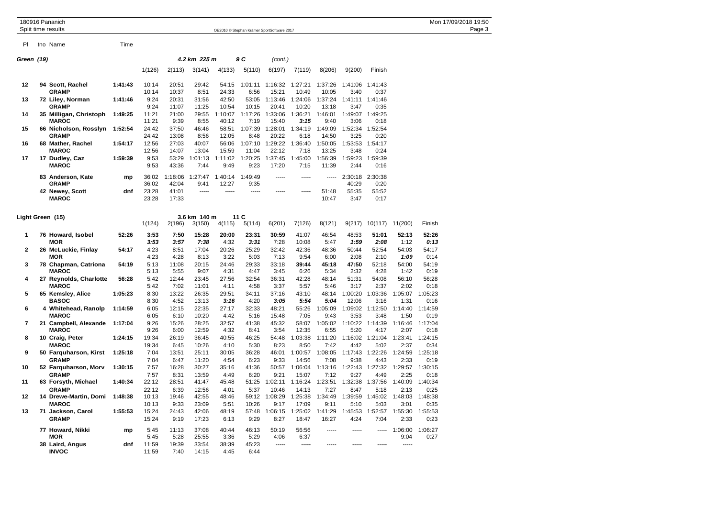|                  | 180916 Pananich<br>Split time results  |         |                |                |                        |                |                                            |                  |                  |                  |                 |                 |                 |                 | Mon 17/09/2018 19:50<br>Page 3 |
|------------------|----------------------------------------|---------|----------------|----------------|------------------------|----------------|--------------------------------------------|------------------|------------------|------------------|-----------------|-----------------|-----------------|-----------------|--------------------------------|
|                  |                                        |         |                |                |                        |                | OE2010 © Stephan Krämer SportSoftware 2017 |                  |                  |                  |                 |                 |                 |                 |                                |
| PI               | tno Name                               | Time    |                |                |                        |                |                                            |                  |                  |                  |                 |                 |                 |                 |                                |
| Green (19)       |                                        |         |                |                | 4.2 km 225 m           |                | 9 C                                        | (cont.)          |                  |                  |                 |                 |                 |                 |                                |
|                  |                                        |         | 1(126)         | 2(113)         | 3(141)                 | 4(133)         | 5(110)                                     | 6(197)           | 7(119)           | 8(206)           | 9(200)          | Finish          |                 |                 |                                |
| 12               | 94 Scott, Rachel                       | 1:41:43 | 10:14          | 20:51          | 29:42                  | 54:15          | 1:01:11                                    | 1:16:32          | 1:27:21          | 1:37:26          | 1:41:06         | 1:41:43         |                 |                 |                                |
|                  | <b>GRAMP</b>                           |         | 10:14          | 10:37          | 8:51                   | 24:33          | 6:56                                       | 15:21            | 10:49            | 10:05            | 3:40            | 0:37            |                 |                 |                                |
| 13               | 72 Liley, Norman<br><b>GRAMP</b>       | 1:41:46 | 9:24<br>9:24   | 20:31<br>11:07 | 31:56<br>11:25         | 42:50<br>10:54 | 53:05<br>10:15                             | 1:13:46<br>20:41 | 1:24:06<br>10:20 | 1:37:24<br>13:18 | 1:41:11<br>3:47 | 1:41:46<br>0:35 |                 |                 |                                |
| 14               | 35 Milligan, Christoph                 | 1:49:25 | 11:21          | 21:00          | 29:55                  | 1:10:07        | 1:17:26                                    | 1:33:06          | 1:36:21          | 1:46:01          | 1:49:07         | 1:49:25         |                 |                 |                                |
|                  | <b>MAROC</b>                           |         | 11:21          | 9:39           | 8:55                   | 40:12          | 7:19                                       | 15:40            | 3:15             | 9:40             | 3:06            | 0:18            |                 |                 |                                |
| 15               | 66 Nicholson, Rosslyn<br><b>GRAMP</b>  | 1:52:54 | 24:42<br>24:42 | 37:50<br>13:08 | 46:46<br>8:56          | 58:51<br>12:05 | 1:07:39<br>8:48                            | 1:28:01<br>20:22 | 1:34:19<br>6:18  | 1:49:09<br>14:50 | 1:52:34<br>3:25 | 1:52:54<br>0:20 |                 |                 |                                |
| 16               | 68 Mather, Rachel<br><b>MAROC</b>      | 1:54:17 | 12:56<br>12:56 | 27:03<br>14:07 | 40:07<br>13:04         | 56:06<br>15:59 | 1:07:10<br>11:04                           | 1:29:22<br>22:12 | 1:36:40<br>7:18  | 1:50:05<br>13:25 | 1:53:53<br>3:48 | 1:54:17<br>0:24 |                 |                 |                                |
| 17               | 17 Dudley, Caz                         | 1:59:39 | 9:53           | 53:29          | 1:01:13                | 1:11:02        | 1:20:25                                    | 1:37:45          | 1:45:00          | 1:56:39          | 1:59:23         | 1:59:39         |                 |                 |                                |
|                  | <b>MAROC</b>                           |         | 9:53           | 43:36          | 7:44                   | 9:49           | 9:23                                       | 17:20            | 7:15             | 11:39            | 2:44            | 0:16            |                 |                 |                                |
|                  | 83 Anderson, Kate                      | mp      | 36:02          | 1:18:06        | 1:27:47                | 1:40:14        | 1:49:49                                    | -----            | -----            | -----            | 2:30:18         | 2:30:38         |                 |                 |                                |
|                  | <b>GRAMP</b>                           |         | 36:02          | 42:04          | 9:41                   | 12:27          | 9:35                                       |                  |                  |                  | 40:29           | 0:20            |                 |                 |                                |
|                  | 42 Newey, Scott<br><b>MAROC</b>        | dnf     | 23:28<br>23:28 | 41:01<br>17:33 | $\overline{a}$         |                | -----                                      | -----            | -----            | 51:48<br>10:47   | 55:35<br>3:47   | 55:52<br>0:17   |                 |                 |                                |
|                  |                                        |         |                |                |                        |                |                                            |                  |                  |                  |                 |                 |                 |                 |                                |
| Light Green (15) |                                        |         | 1(124)         | 2(196)         | 3.6 km 140 m<br>3(150) | 4(115)         | 11C<br>5(114)                              | 6(201)           | 7(126)           | 8(121)           | 9(217)          | 10(117)         | 11(200)         | Finish          |                                |
| 1                | 76 Howard, Isobel<br><b>MOR</b>        | 52:26   | 3:53<br>3:53   | 7:50<br>3:57   | 15:28<br>7:38          | 20:00<br>4:32  | 23:31<br>3:31                              | 30:59<br>7:28    | 41:07<br>10:08   | 46:54<br>5:47    | 48:53<br>1:59   | 51:01<br>2:08   | 52:13<br>1:12   | 52:26<br>0:13   |                                |
| $\mathbf{2}$     | 26 McLuckie, Finlay                    | 54:17   | 4:23           | 8:51           | 17:04                  | 20:26          | 25:29                                      | 32:42            | 42:36            | 48:36            | 50:44           | 52:54           | 54:03           | 54:17           |                                |
|                  | MOR                                    |         | 4:23           | 4:28           | 8:13                   | 3:22           | 5:03                                       | 7:13             | 9:54             | 6:00             | 2:08            | 2:10            | 1:09            | 0:14            |                                |
| 3                | 78 Chapman, Catriona                   | 54:19   | 5:13           | 11:08          | 20:15                  | 24:46          | 29:33                                      | 33:18            | 39:44            | 45:18            | 47:50           | 52:18           | 54:00           | 54:19           |                                |
|                  | <b>MAROC</b>                           |         | 5:13           | 5:55           | 9:07                   | 4:31           | 4:47                                       | 3:45             | 6:26             | 5:34             | 2:32            | 4:28            | 1:42            | 0:19            |                                |
| 4                | 27 Reynolds, Charlotte<br><b>MAROC</b> | 56:28   | 5:42<br>5:42   | 12:44<br>7:02  | 23:45<br>11:01         | 27:56<br>4:11  | 32:54<br>4:58                              | 36:31<br>3:37    | 42:28<br>5:57    | 48:14<br>5:46    | 51:31<br>3:17   | 54:08<br>2:37   | 56:10<br>2:02   | 56:28<br>0:18   |                                |
| 5                | 65 Kemsley, Alice                      | 1:05:23 | 8:30           | 13:22          | 26:35                  | 29:51          | 34:11                                      | 37:16            | 43:10            | 48:14            | 1:00:20         | 1:03:36         | 1:05:07         | 1:05:23         |                                |
|                  | <b>BASOC</b>                           |         | 8:30           | 4:52           | 13:13                  | 3:16           | 4:20                                       | 3:05             | 5:54             | 5:04             | 12:06           | 3:16            | 1:31            | 0:16            |                                |
| 6                | 4 Whitehead, Ranolp                    | 1:14:59 | 6:05           | 12:15          | 22:35                  | 27:17          | 32:33                                      | 48:21            | 55:26            | 1:05:09          | 1:09:02         | 1:12:50         | 1:14:40         | 1:14:59         |                                |
|                  | <b>MAROC</b>                           |         | 6:05           | 6:10           | 10:20                  | 4:42           | 5:16                                       | 15:48            | 7:05             | 9:43             | 3:53            | 3:48            | 1:50            | 0:19            |                                |
| $\overline{7}$   | 21 Campbell, Alexande                  | 1:17:04 | 9:26           | 15:26          | 28:25                  | 32:57          | 41:38                                      | 45:32            | 58:07            | 1:05:02          | 1:10:22         | 1:14:39         | 1:16:46         | 1:17:04         |                                |
| 8                | <b>MAROC</b>                           | 1:24:15 | 9:26<br>19:34  | 6:00<br>26:19  | 12:59<br>36:45         | 4:32<br>40:55  | 8:41<br>46:25                              | 3:54<br>54:48    | 12:35<br>1:03:38 | 6:55<br>1:11:20  | 5:20<br>1:16:02 | 4:17<br>1:21:04 | 2:07<br>1:23:41 | 0:18<br>1:24:15 |                                |
|                  | 10 Craig, Peter<br><b>MAROC</b>        |         | 19:34          | 6:45           | 10:26                  | 4:10           | 5:30                                       | 8:23             | 8:50             | 7:42             | 4:42            | 5:02            | 2:37            | 0:34            |                                |
| 9                | 50 Farquharson, Kirst                  | 1:25:18 | 7:04           | 13:51          | 25:11                  | 30:05          | 36:28                                      | 46:01            | 1:00:57          | 1:08:05          | 1:17:43         | 1:22:26         | 1:24:59         | 1:25:18         |                                |
|                  | <b>GRAMP</b>                           |         | 7:04           | 6:47           | 11:20                  | 4:54           | 6:23                                       | 9:33             | 14:56            | 7:08             | 9:38            | 4:43            | 2:33            | 0:19            |                                |
| 10               | 52 Farquharson, Morv                   | 1:30:15 | 7:57           | 16:28          | 30:27                  | 35:16          | 41:36                                      | 50:57            | 1:06:04          | 1:13:16          | 1:22:43         | 1:27:32         | 1:29:57         | 1:30:15         |                                |
|                  | <b>GRAMP</b>                           |         | 7:57           | 8:31           | 13:59                  | 4:49           | 6:20                                       | 9:21             | 15:07            | 7:12             | 9:27            | 4:49            | 2:25            | 0:18            |                                |
| 11               | 63 Forsyth, Michael                    | 1:40:34 | 22:12          | 28:51          | 41:47                  | 45:48          | 51:25                                      | 1:02:11          | 1:16:24          | 1:23:51          | 1:32:38         | 1:37:56         | 1:40:09         | 1:40:34         |                                |
|                  | <b>GRAMP</b>                           |         | 22:12          | 6:39           | 12:56                  | 4:01           | 5:37                                       | 10:46            | 14:13            | 7:27             | 8:47            | 5:18            | 2:13            | 0:25            |                                |
| 12               | 14 Drewe-Martin, Domi<br><b>MAROC</b>  | 1:48:38 | 10:13<br>10:13 | 19:46<br>9:33  | 42:55<br>23:09         | 48:46<br>5:51  | 59:12<br>10:26                             | 1:08:29<br>9:17  | 1:25:38<br>17:09 | 1:34:49<br>9:11  | 1:39:59<br>5:10 | 1:45:02<br>5:03 | 1:48:03<br>3:01 | 1:48:38<br>0:35 |                                |
| 13               | 71 Jackson, Carol                      | 1:55:53 | 15:24          | 24:43          | 42:06                  | 48:19          | 57:48                                      | 1:06:15          | 1:25:02          | 1:41:29          | 1:45:53         | 1:52:57         | 1:55:30         | 1:55:53         |                                |
|                  | <b>GRAMP</b>                           |         | 15:24          | 9:19           | 17:23                  | 6:13           | 9:29                                       | 8:27             | 18:47            | 16:27            | 4:24            | 7:04            | 2:33            | 0:23            |                                |
|                  | 77 Howard, Nikki                       | mp      | 5:45           | 11:13          | 37:08                  | 40:44          | 46:13                                      | 50:19            | 56:56            |                  |                 | $- - - - -$     | 1:06:00         | 1:06:27         |                                |
|                  | <b>MOR</b>                             |         | 5:45           | 5:28           | 25:55                  | 3:36           | 5:29                                       | 4:06             | 6:37             |                  |                 |                 | 9:04            | 0:27            |                                |
|                  | 38 Laird, Angus<br><b>INVOC</b>        | dnf     | 11:59<br>11:59 | 19:39<br>7:40  | 33:54<br>14:15         | 38:39<br>4:45  | 45:23<br>6:44                              | $- - - - -$      | -----            |                  |                 |                 | -----           |                 |                                |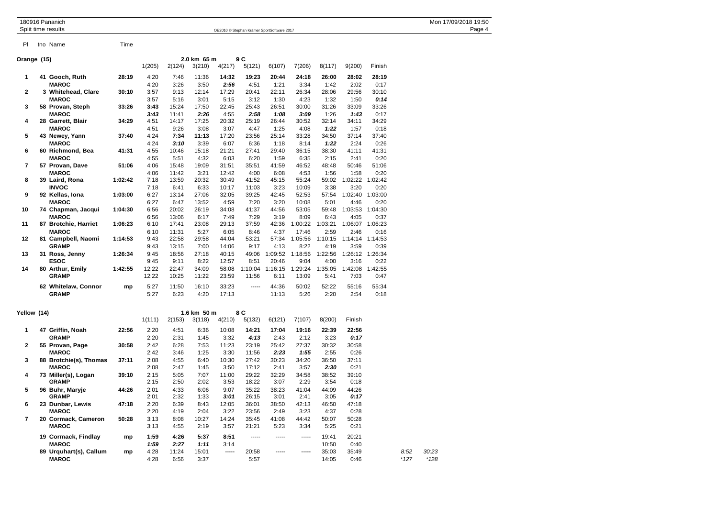|  | 180916 Pananich |
|--|-----------------|
|  |                 |

Pl tno Name Time

180916 Pananich Mon 17/09/2018 19:50<br>
Split time results Dage 4 OE2010 © Stephan Krämer SportSoftware 2017

| Orange (15)    |                      |         |        | 2.0 km 65 m | 9 C         |        |         |         |                     |         |         |         |
|----------------|----------------------|---------|--------|-------------|-------------|--------|---------|---------|---------------------|---------|---------|---------|
|                |                      |         | 1(205) | 2(124)      | 3(210)      | 4(217) | 5(121)  | 6(107)  | 7(206)              | 8(117)  | 9(200)  | Finish  |
| 1              | 41 Gooch, Ruth       | 28:19   | 4:20   | 7:46        | 11:36       | 14:32  | 19:23   | 20:44   | 24:18               | 26:00   | 28:02   | 28:19   |
|                | <b>MAROC</b>         |         | 4:20   | 3:26        | 3:50        | 2:56   | 4:51    | 1:21    | 3:34                | 1:42    | 2:02    | 0:17    |
| $\mathbf{2}$   | 3 Whitehead, Clare   | 30:10   | 3:57   | 9:13        | 12:14       | 17:29  | 20:41   | 22:11   | 26:34               | 28:06   | 29:56   | 30:10   |
|                | <b>MAROC</b>         |         | 3:57   | 5:16        | 3:01        | 5:15   | 3:12    | 1:30    | 4:23                | 1:32    | 1:50    | 0:14    |
| 3              | 58 Provan, Steph     | 33:26   | 3:43   | 15:24       | 17:50       | 22:45  | 25:43   | 26:51   | 30:00               | 31:26   | 33:09   | 33:26   |
|                | <b>MAROC</b>         |         | 3:43   | 11:41       | 2:26        | 4:55   | 2:58    | 1:08    | 3:09                | 1:26    | 1:43    | 0:17    |
| 4              | 28 Garrett, Blair    | 34:29   | 4:51   | 14:17       | 17:25       | 20:32  | 25:19   | 26:44   | 30:52               | 32:14   | 34:11   | 34:29   |
|                | <b>MAROC</b>         |         | 4:51   | 9:26        | 3:08        | 3:07   | 4:47    | 1:25    | 4:08                | 1:22    | 1:57    | 0:18    |
| 5              | 43 Newey, Yann       | 37:40   | 4:24   | 7:34        | 11:13       | 17:20  | 23:56   | 25:14   | 33:28               | 34:50   | 37:14   | 37:40   |
|                | <b>MAROC</b>         |         | 4:24   | 3:10        | 3:39        | 6:07   | 6:36    | 1:18    | 8:14                | 1:22    | 2:24    | 0:26    |
| 6              | 60 Richmond, Bea     | 41:31   | 4:55   | 10:46       | 15:18       | 21:21  | 27:41   | 29:40   | 36:15               | 38:30   | 41:11   | 41:31   |
|                | <b>MAROC</b>         |         | 4:55   | 5:51        | 4:32        | 6:03   | 6:20    | 1:59    | 6:35                | 2:15    | 2:41    | 0:20    |
| $\overline{7}$ | 57 Provan, Dave      | 51:06   | 4:06   | 15:48       | 19:09       | 31:51  | 35:51   | 41:59   | 46:52               | 48:48   | 50:46   | 51:06   |
|                | <b>MAROC</b>         |         | 4:06   | 11:42       | 3:21        | 12:42  | 4:00    | 6:08    | 4:53                | 1:56    | 1:58    | 0:20    |
| 8              | 39 Laird, Rona       | 1:02:42 | 7:18   | 13:59       | 20:32       | 30:49  | 41:52   | 45:15   | 55:24               | 59:02   | 1:02:22 | 1:02:42 |
|                | <b>INVOC</b>         |         | 7:18   | 6:41        | 6:33        | 10:17  | 11:03   | 3:23    | 10:09               | 3:38    | 3:20    | 0:20    |
| 9              | 92 Kellas, Iona      | 1:03:00 | 6:27   | 13:14       | 27:06       | 32:05  | 39:25   | 42:45   | 52:53               | 57:54   | 1:02:40 | 1:03:00 |
|                | <b>MAROC</b>         |         | 6:27   | 6:47        | 13:52       | 4:59   | 7:20    | 3:20    | 10:08               | 5:01    | 4:46    | 0:20    |
| 10             | 74 Chapman, Jacqui   | 1:04:30 | 6:56   | 20:02       | 26:19       | 34:08  | 41:37   | 44:56   | 53:05               | 59:48   | 1:03:53 | 1:04:30 |
|                | <b>MAROC</b>         |         | 6:56   | 13:06       | 6:17        | 7:49   | 7:29    | 3:19    | 8:09                | 6:43    | 4:05    | 0:37    |
| 11             | 87 Brotchie, Harriet | 1:06:23 | 6:10   | 17:41       | 23:08       | 29:13  | 37:59   | 42:36   | 1:00:22             | 1:03:21 | 1:06:07 | 1:06:23 |
|                | <b>MAROC</b>         |         | 6:10   | 11:31       | 5:27        | 6:05   | 8:46    | 4:37    | 17:46               | 2:59    | 2:46    | 0:16    |
| 12             | 81 Campbell, Naomi   | 1:14:53 | 9:43   | 22:58       | 29:58       | 44:04  | 53:21   | 57:34   | 1:05:56             | 1:10:15 | 1:14:14 | 1:14:53 |
|                | <b>GRAMP</b>         |         | 9:43   | 13:15       | 7:00        | 14:06  | 9:17    | 4:13    | 8:22                | 4:19    | 3:59    | 0:39    |
| 13             | 31 Ross, Jenny       | 1:26:34 | 9:45   | 18:56       | 27:18       | 40:15  | 49:06   | 1:09:52 | 1:18:56             | 1:22:56 | 1:26:12 | 1:26:34 |
|                | <b>ESOC</b>          |         | 9:45   | 9:11        | 8:22        | 12:57  | 8:51    | 20:46   | 9:04                | 4:00    | 3:16    | 0:22    |
| 14             | 80 Arthur, Emily     | 1:42:55 | 12:22  | 22:47       | 34:09       | 58:08  | 1:10:04 | 1:16:15 | 1:29:24             | 1:35:05 | 1:42:08 | 1:42:55 |
|                | <b>GRAMP</b>         |         | 12:22  | 10:25       | 11:22       | 23:59  | 11:56   | 6:11    | 13:09               | 5:41    | 7:03    | 0:47    |
|                | 62 Whitelaw, Connor  | mp      | 5:27   | 11:50       | 16:10       | 33:23  | -----   | 44:36   | 50:02               | 52:22   | 55:16   | 55:34   |
|                | <b>GRAMP</b>         |         | 5:27   | 6:23        | 4:20        | 17:13  |         | 11:13   | 5:26                | 2:20    | 2:54    | 0:18    |
| Yellow (14)    |                      |         |        |             | 1.6 km 50 m |        | 8 C     |         |                     |         |         |         |
|                |                      |         | 1(111) | 2(153)      | 3(118)      | 4(210) | 5(132)  | 6(121)  | 7(107)              | 8(200)  | Finish  |         |
| 1              | 47 Griffin, Noah     | 22:56   | 2:20   | 4:51        | 6:36        | 10:08  | 14:21   | 17:04   | 19:16               | 22:39   | 22:56   |         |
|                | <b>GRAMP</b>         |         | 2:20   | 2:31        | 1:45        | 3:32   | 4:13    | 2:43    | 2:12                | 3:23    | 0:17    |         |
| $\mathbf{2}$   | 55 Provan, Page      | 30:58   | 2:42   | 6:28        | 7:53        | 11:23  | 23:19   | 25:42   | 27:37               | 30:32   | 30:58   |         |
|                | 10000                |         | 0.40   | 0.40        | 4.05        | 0.00   | 11.50   | 0.00    | $\overline{a}$ . mm | 0.55    | 0.00    |         |

| <b>GRAMP</b> |                                                                                                                                                                                 | 2:20 | 2:31  | 1:45  | 3:32  | 4:13  | 2:43  | 2:12  | 3:23  | 0:17  |        |        |
|--------------|---------------------------------------------------------------------------------------------------------------------------------------------------------------------------------|------|-------|-------|-------|-------|-------|-------|-------|-------|--------|--------|
|              | 30:58                                                                                                                                                                           | 2:42 | 6:28  | 7:53  | 11:23 | 23:19 | 25:42 | 27:37 | 30:32 | 30:58 |        |        |
| <b>MAROC</b> |                                                                                                                                                                                 | 2:42 | 3:46  | 1:25  | 3:30  | 11:56 | 2:23  | 1:55  | 2:55  | 0:26  |        |        |
|              | 37:11                                                                                                                                                                           | 2:08 | 4:55  | 6:40  | 10:30 | 27:42 | 30:23 | 34:20 | 36:50 | 37:11 |        |        |
| <b>MAROC</b> |                                                                                                                                                                                 | 2:08 | 2:47  | 1:45  | 3:50  | 17:12 | 2:41  | 3:57  | 2:30  | 0:21  |        |        |
|              | 39:10                                                                                                                                                                           | 2:15 | 5:05  | 7:07  | 11:00 | 29:22 | 32:29 | 34:58 | 38:52 | 39:10 |        |        |
| <b>GRAMP</b> |                                                                                                                                                                                 | 2:15 | 2:50  | 2:02  | 3:53  | 18:22 | 3:07  | 2:29  | 3:54  | 0:18  |        |        |
|              | 44:26                                                                                                                                                                           | 2:01 | 4:33  | 6:06  | 9:07  | 35:22 | 38:23 | 41:04 | 44:09 | 44:26 |        |        |
| <b>GRAMP</b> |                                                                                                                                                                                 | 2:01 | 2:32  | 1:33  | 3:01  | 26:15 | 3:01  | 2:41  | 3:05  | 0:17  |        |        |
|              | 47:18                                                                                                                                                                           | 2:20 | 6:39  | 8:43  | 12:05 | 36:01 | 38:50 | 42:13 | 46:50 | 47:18 |        |        |
| <b>MAROC</b> |                                                                                                                                                                                 | 2:20 | 4:19  | 2:04  | 3:22  | 23:56 | 2:49  | 3:23  | 4:37  | 0:28  |        |        |
|              | 50:28                                                                                                                                                                           | 3:13 | 8:08  | 10:27 | 14:24 | 35:45 | 41:08 | 44:42 | 50:07 | 50:28 |        |        |
| <b>MAROC</b> |                                                                                                                                                                                 | 3:13 | 4:55  | 2:19  | 3:57  | 21:21 | 5:23  | 3:34  | 5:25  | 0:21  |        |        |
|              | mp                                                                                                                                                                              | 1:59 | 4:26  | 5:37  | 8:51  | ----- |       | ----- | 19:41 | 20:21 |        |        |
| <b>MAROC</b> |                                                                                                                                                                                 | 1:59 | 2:27  | 1:11  | 3:14  |       |       |       | 10:50 | 0:40  |        |        |
|              | mp                                                                                                                                                                              | 4:28 | 11:24 | 15:01 | ----- | 20:58 | ----- | ----- | 35:03 | 35:49 | 8:52   | 30:23  |
| <b>MAROC</b> |                                                                                                                                                                                 | 4:28 | 6:56  | 3:37  |       | 5:57  |       |       | 14:05 | 0:46  | $*127$ | $*128$ |
|              | 55 Provan, Page<br>88 Brotchie(s), Thomas<br>73 Miller(s), Logan<br>96 Buhr, Maryje<br>23 Dunbar, Lewis<br>20 Cormack, Cameron<br>19 Cormack, Findlay<br>89 Urquhart(s), Callum |      |       |       |       |       |       |       |       |       |        |        |